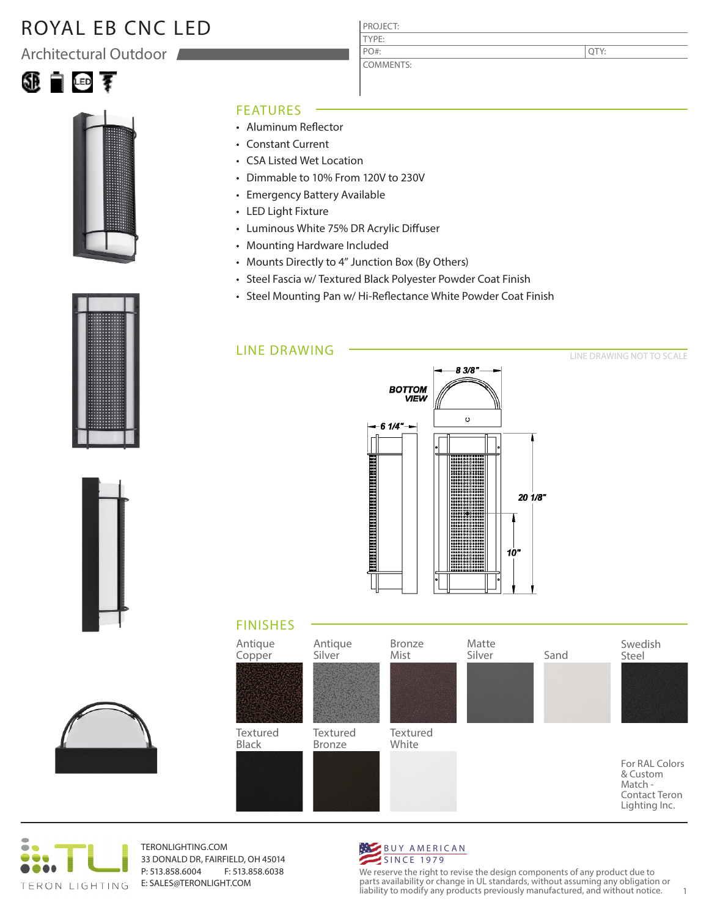# ROYAL EB CNC LED

Architectural Outdoor





#### FEATURES

- Aluminum Reflector
- Constant Current
- CSA Listed Wet Location
- Dimmable to 10% From 120V to 230V
- Emergency Battery Available
- LED Light Fixture
- Luminous White 75% DR Acrylic Diffuser
- Mounting Hardware Included
- Mounts Directly to 4" Junction Box (By Others)
- Steel Fascia w/ Textured Black Polyester Powder Coat Finish

PROJECT: TYPE:

PO#:

COMMENTS:

• Steel Mounting Pan w/ Hi-Reflectance White Powder Coat Finish

### LINE DRAWING



### FINISHES





TERONLIGHTING.COM 33 DONALD DR, FAIRFIELD, OH 45014 P: 513.858.6004 F: 513.858.6038 E: SALES@TERONLIGHT.COM



We reserve the right to revise the design components of any product due to parts availability or change in UL standards, without assuming any obligation or liability to modify any products previously manufactured, and without notice. 1







QTY:

LINE DRAWING NOT TO SCALE